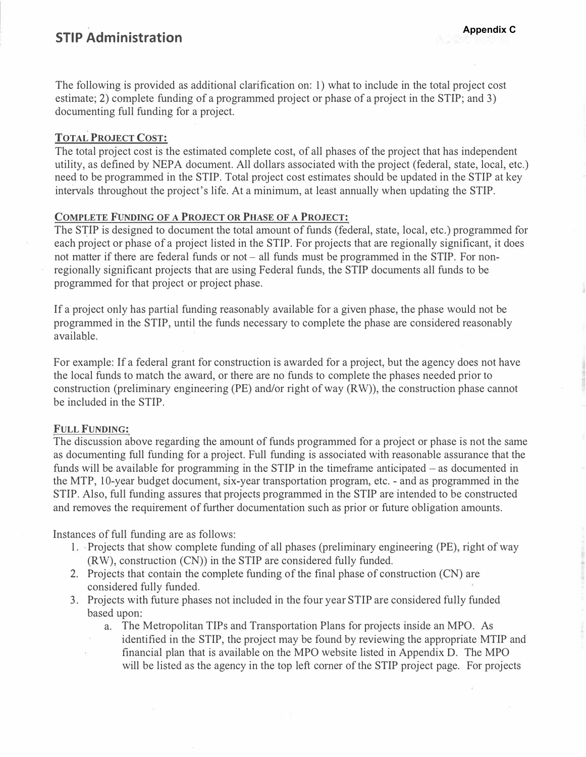# **STIP Administration**

The following is provided as additional clarification on: 1) what to include in the total project cost estimate; 2) complete funding of a programmed project or phase of a project in the STIP; and 3) documenting full funding for a project.

### **TOTAL PROJECT COST:**

The total project cost is the estimated complete cost, of all phases of the project that has independent utility, as defined by NEPA document. All dollars associated with the project (federal, state, local, etc.) need to be programmed in the STIP. Total project cost estimates should be updated in the STIP at key intervals throughout the project's life. At a minimum, at least annually when updating the STIP.

### **COMPLETE FUNDING OF A PROJECT OR PHASE OF A PROJECT:**

The STIP is designed to document the total amount of funds (federal, state, local, etc.) programmed for each project or phase of a project listed in the STIP. For projects that are regionally significant, it does not matter if there are federal funds or not – all funds must be programmed in the STIP. For nonregionally significant projects that are using Federal funds, the STIP documents all funds to be programmed for that project or project phase.

If a project only has partial funding reasonably available for a given phase, the phase would not be programmed in the STIP, until the funds necessary to complete the phase are considered reasonably available.

For example: If a federal grant for construction is awarded for a project, but the agency does not have the local funds to match the award, or there are no funds to complete the phases needed prior to construction (preliminary engineering (PE) and/or right of way (RW)), the construction phase cannot be included in the STIP.

#### **FULL FUNDING:**

The discussion above regarding the amount of funds programmed for a project or phase is not the same as documenting full funding for a project. Full funding is associated with reasonable assurance that the funds will be available for programming in the STIP in the timeframe anticipated – as documented in the MTP, 10-year budget document, six-year transportation program, etc. - and as programmed in the STIP. Also, full funding assures that projects programmed in the STIP are intended to be constructed and removes the requirement of further documentation such as prior or future obligation amounts.

Instances of full funding are as follows:

- 1. . Projects that show complete funding of all phases (preliminary engineering (PE), right of way (RW), construction (CN)) in the STIP are considered fully funded.
- 2. Projects that contain the complete funding of the final phase of construction (CN) are considered fully funded.
- 3. Projects with future phases not included in the four year STIP are considered fully funded based upon:
	- a. The Metropolitan TIPs and Transportation Plans for projects inside an MPO. As
		- identified in the STIP, the project may be found by reviewing the appropriate MTIP and financial plan that is available on the MPO website listed in Appendix D. The MPO will be listed as the agency in the top left comer of the STIP project page. For projects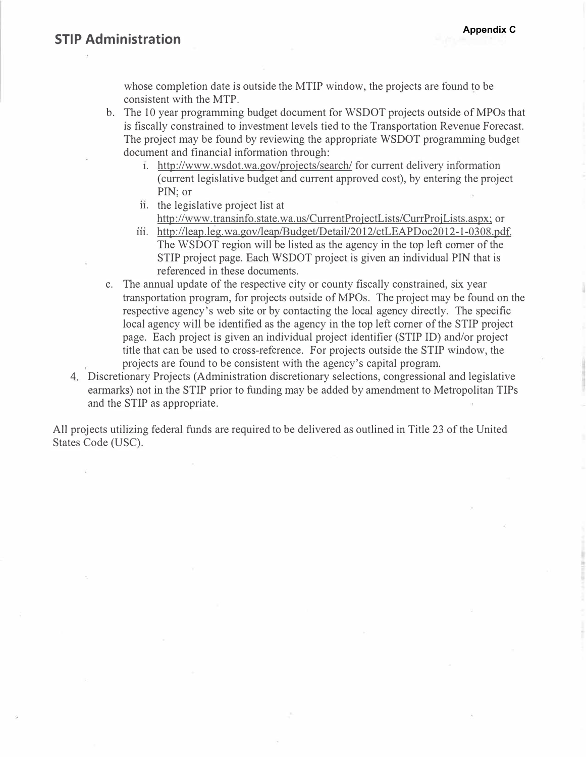whose completion date is outside the MTIP window, the projects are found to be consistent with the MTP.

b. The 10 year programming budget document for WSDOT projects outside of MPOs that is fiscally constrained to investment levels tied to the Transportation Revenue Forecast. The project may be found by reviewing the appropriate WSDOT programming budget document and financial information through:

- **1.** [http://www.wsdot.wa.gov/projects/search/](http://www.wsdot.wa.gov/projects/search) for current delivery information ( current legislative budget and current approved cost), by entering the project PIN; or
- **11.** the legislative project list at <http://www>.transinfo.state.wa.us/CurrentProjectLists/CurrProjLists.aspx; or
- **111.** [http://leap.leg.wa.gov/leap/Budget/Detail/2012/ctLEAPDoc2012-1-0308.pdf.](http://leap.leg.wa.gov/leap/Budget/Detail/2012/ctLEAPDoc2012-1-0308.pdf) The WSDOT region will be listed as the agency in the top left comer of the STIP project page. Each WSDOT project is given an individual PIN that is referenced in these documents.
- c. The annual update of the respective city or county fiscally co\_nstrained, six year transportation program, for projects outside of MPOs. The project may be found on the respective agency's web site or by contacting the local agency directly. The specific local agency will be identified as the agency in the top left comer of the STIP project page. Each project is given an individual project identifier (STIP ID) and/or project title that can be used to cross-reference. For projects outside the STIP window, the projects are found to be consistent with the agency's capital program.
- 4. Discretionary Projects (Administration discretionary selections, congressional and legislative earmarks) not in the STIP prior to funding may be added by amendment to Metropolitan TIPs and the STIP as appropriate.

All projects utilizing federal funds are required to be delivered as outlined in Title 23 of the United States Code (USC).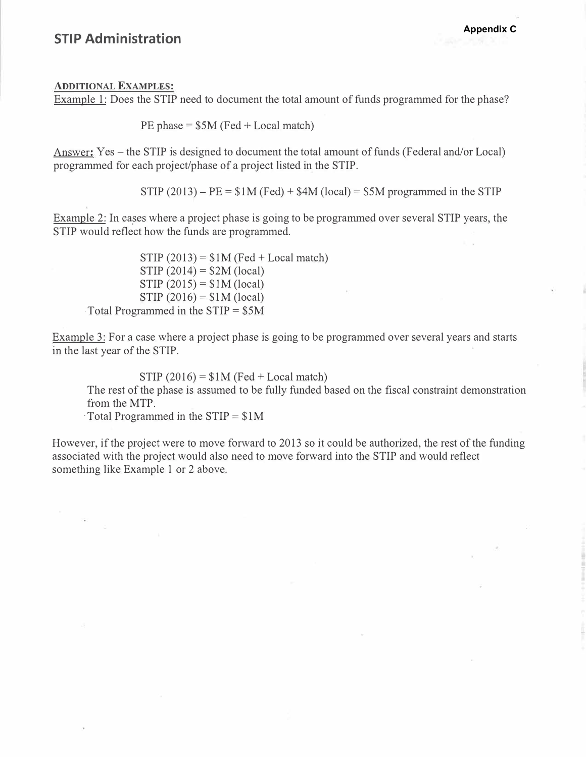## **STIP Administration**

#### **ADDITIONAL EXAMPLES:**

Example 1: Does the STIP need to document the total amount of funds programmed for the phase?

PE phase  $= $5M$  (Fed  $+$  Local match)

Answer: Yes – the STIP is designed to document the total amount of funds (Federal and/or Local) programmed for each project/phase of a project listed in the STIP.

 $STIP (2013) - PE = $1M (Fed) + $4M (local) = $5M$  programmed in the STIP

Example 2: In cases where a project phase is going to be programmed over several STIP years, the STIP would reflect how the funds are programmed.

 $STIP (2013) = $1M (Fed + Local match)$  $STIP (2014) = $2M (local)$  $STIP (2015) = $1M (local)$  $STIP (2016) = $1M (local)$ · Total Programmed in the STIP = \$5M

Example 3: For a case where a project phase is going to be programmed over several years and starts in the last year of the STIP.

STIP  $(2016) = $1M$  (Fed + Local match)

The rest of the phase is assumed to be fully funded based on the fiscal constraint demonstration from the MTP.

 $\cdot$ Total Programmed in the STIP =  $$1M$ 

However, if the project were to move forward to 2013 so it could be authorized, the rest of the funding associated with the project would also need to move forward into the STIP and would reflect something like Example 1 or 2 above.